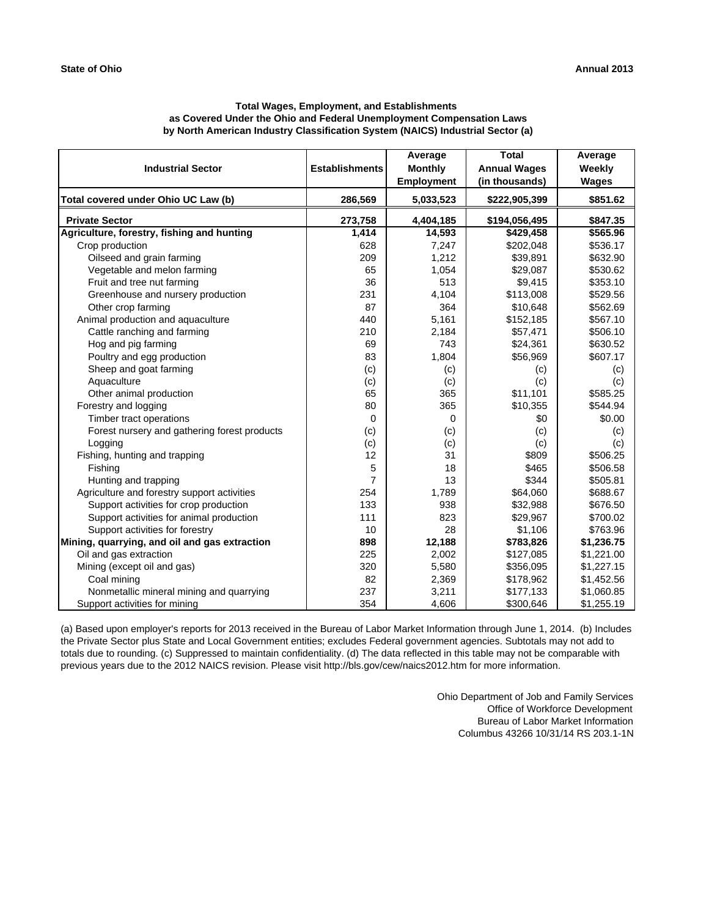| <b>Industrial Sector</b>                      | <b>Establishments</b> | Average<br><b>Monthly</b><br><b>Employment</b> | <b>Total</b><br><b>Annual Wages</b><br>(in thousands) | Average<br>Weekly<br>Wages |
|-----------------------------------------------|-----------------------|------------------------------------------------|-------------------------------------------------------|----------------------------|
| Total covered under Ohio UC Law (b)           | 286,569               | 5,033,523                                      | \$222,905,399                                         | \$851.62                   |
| <b>Private Sector</b>                         | 273,758               | 4,404,185                                      | \$194,056,495                                         | \$847.35                   |
| Agriculture, forestry, fishing and hunting    | 1,414                 | 14,593                                         | \$429,458                                             | \$565.96                   |
| Crop production                               | 628                   | 7,247                                          | \$202,048                                             | \$536.17                   |
| Oilseed and grain farming                     | 209                   | 1,212                                          | \$39,891                                              | \$632.90                   |
| Vegetable and melon farming                   | 65                    | 1,054                                          | \$29,087                                              | \$530.62                   |
| Fruit and tree nut farming                    | 36                    | 513                                            | \$9,415                                               | \$353.10                   |
| Greenhouse and nursery production             | 231                   | 4,104                                          | \$113,008                                             | \$529.56                   |
| Other crop farming                            | 87                    | 364                                            | \$10,648                                              | \$562.69                   |
| Animal production and aquaculture             | 440                   | 5,161                                          | \$152,185                                             | \$567.10                   |
| Cattle ranching and farming                   | 210                   | 2,184                                          | \$57,471                                              | \$506.10                   |
| Hog and pig farming                           | 69                    | 743                                            | \$24,361                                              | \$630.52                   |
| Poultry and egg production                    | 83                    | 1,804                                          | \$56,969                                              | \$607.17                   |
| Sheep and goat farming                        | (c)                   | (c)                                            | (c)                                                   | (c)                        |
| Aquaculture                                   | (c)                   | (c)                                            | (c)                                                   | (c)                        |
| Other animal production                       | 65                    | 365                                            | \$11,101                                              | \$585.25                   |
| Forestry and logging                          | 80                    | 365                                            | \$10,355                                              | \$544.94                   |
| Timber tract operations                       | 0                     | 0                                              | \$0                                                   | \$0.00                     |
| Forest nursery and gathering forest products  | (c)                   | (c)                                            | (c)                                                   | (c)                        |
| Logging                                       | (c)                   | (c)                                            | (c)                                                   | (c)                        |
| Fishing, hunting and trapping                 | 12                    | 31                                             | \$809                                                 | \$506.25                   |
| Fishing                                       | 5                     | 18                                             | \$465                                                 | \$506.58                   |
| Hunting and trapping                          | 7                     | 13                                             | \$344                                                 | \$505.81                   |
| Agriculture and forestry support activities   | 254                   | 1,789                                          | \$64,060                                              | \$688.67                   |
| Support activities for crop production        | 133                   | 938                                            | \$32,988                                              | \$676.50                   |
| Support activities for animal production      | 111                   | 823                                            | \$29,967                                              | \$700.02                   |
| Support activities for forestry               | 10                    | 28                                             | \$1,106                                               | \$763.96                   |
| Mining, quarrying, and oil and gas extraction | 898                   | 12,188                                         | \$783,826                                             | \$1,236.75                 |
| Oil and gas extraction                        | 225                   | 2,002                                          | \$127,085                                             | \$1,221.00                 |
| Mining (except oil and gas)                   | 320                   | 5,580                                          | \$356,095                                             | \$1,227.15                 |
| Coal mining                                   | 82                    | 2,369                                          | \$178,962                                             | \$1,452.56                 |
| Nonmetallic mineral mining and quarrying      | 237                   | 3,211                                          | \$177,133                                             | \$1,060.85                 |
| Support activities for mining                 | 354                   | 4,606                                          | \$300,646                                             | \$1,255.19                 |

(a) Based upon employer's reports for 2013 received in the Bureau of Labor Market Information through June 1, 2014. (b) Includes the Private Sector plus State and Local Government entities; excludes Federal government agencies. Subtotals may not add to totals due to rounding. (c) Suppressed to maintain confidentiality. (d) The data reflected in this table may not be comparable with previous years due to the 2012 NAICS revision. Please visit http://bls.gov/cew/naics2012.htm for more information.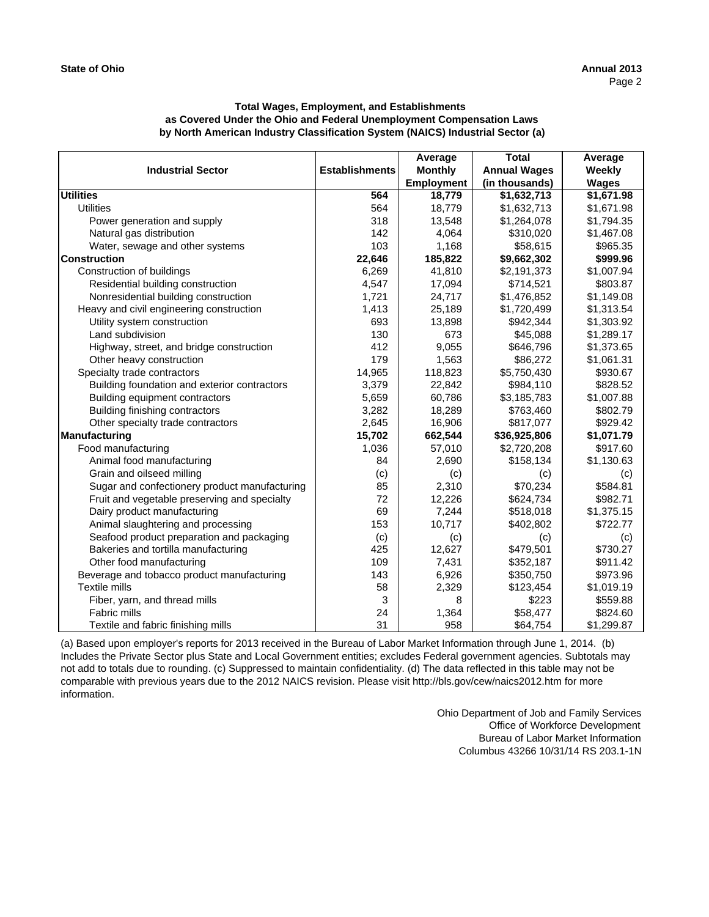|                                               |                       | Average           | Total                  | Average      |
|-----------------------------------------------|-----------------------|-------------------|------------------------|--------------|
| <b>Industrial Sector</b>                      | <b>Establishments</b> | <b>Monthly</b>    | <b>Annual Wages</b>    | Weekly       |
|                                               |                       | <b>Employment</b> | (in thousands)         | <b>Wages</b> |
| <b>Utilities</b>                              | 564                   | 18,779            | $\overline{1,632,713}$ | \$1,671.98   |
| <b>Utilities</b>                              | 564                   | 18,779            | \$1,632,713            | \$1,671.98   |
| Power generation and supply                   | 318                   | 13,548            | \$1,264,078            | \$1,794.35   |
| Natural gas distribution                      | 142                   | 4,064             | \$310,020              | \$1,467.08   |
| Water, sewage and other systems               | 103                   | 1,168             | \$58,615               | \$965.35     |
| <b>Construction</b>                           | 22,646                | 185,822           | \$9,662,302            | \$999.96     |
| Construction of buildings                     | 6,269                 | 41,810            | \$2,191,373            | \$1,007.94   |
| Residential building construction             | 4,547                 | 17,094            | \$714,521              | \$803.87     |
| Nonresidential building construction          | 1,721                 | 24,717            | \$1,476,852            | \$1,149.08   |
| Heavy and civil engineering construction      | 1,413                 | 25,189            | \$1,720,499            | \$1,313.54   |
| Utility system construction                   | 693                   | 13,898            | \$942,344              | \$1,303.92   |
| Land subdivision                              | 130                   | 673               | \$45,088               | \$1,289.17   |
| Highway, street, and bridge construction      | 412                   | 9.055             | \$646,796              | \$1,373.65   |
| Other heavy construction                      | 179                   | 1,563             | \$86,272               | \$1,061.31   |
| Specialty trade contractors                   | 14,965                | 118,823           | \$5,750,430            | \$930.67     |
| Building foundation and exterior contractors  | 3,379                 | 22,842            | \$984,110              | \$828.52     |
| Building equipment contractors                | 5,659                 | 60,786            | \$3,185,783            | \$1,007.88   |
| Building finishing contractors                | 3,282                 | 18,289            | \$763,460              | \$802.79     |
| Other specialty trade contractors             | 2,645                 | 16,906            | \$817,077              | \$929.42     |
| <b>Manufacturing</b>                          | 15,702                | 662,544           | \$36,925,806           | \$1,071.79   |
| Food manufacturing                            | 1,036                 | 57,010            | \$2,720,208            | \$917.60     |
| Animal food manufacturing                     | 84                    | 2,690             | \$158,134              | \$1,130.63   |
| Grain and oilseed milling                     | (c)                   | (c)               | (c)                    | (c)          |
| Sugar and confectionery product manufacturing | 85                    | 2,310             | \$70,234               | \$584.81     |
| Fruit and vegetable preserving and specialty  | 72                    | 12,226            | \$624,734              | \$982.71     |
| Dairy product manufacturing                   | 69                    | 7,244             | \$518,018              | \$1,375.15   |
| Animal slaughtering and processing            | 153                   | 10,717            | \$402,802              | \$722.77     |
| Seafood product preparation and packaging     | (c)                   | (c)               | (c)                    | (c)          |
| Bakeries and tortilla manufacturing           | 425                   | 12,627            | \$479,501              | \$730.27     |
| Other food manufacturing                      | 109                   | 7,431             | \$352,187              | \$911.42     |
| Beverage and tobacco product manufacturing    | 143                   | 6,926             | \$350,750              | \$973.96     |
| <b>Textile mills</b>                          | 58                    | 2,329             | \$123,454              | \$1,019.19   |
| Fiber, yarn, and thread mills                 | 3                     | 8                 | \$223                  | \$559.88     |
| Fabric mills                                  | 24                    | 1,364             | \$58,477               | \$824.60     |
| Textile and fabric finishing mills            | 31                    | 958               | \$64,754               | \$1,299.87   |

(a) Based upon employer's reports for 2013 received in the Bureau of Labor Market Information through June 1, 2014. (b) Includes the Private Sector plus State and Local Government entities; excludes Federal government agencies. Subtotals may not add to totals due to rounding. (c) Suppressed to maintain confidentiality. (d) The data reflected in this table may not be comparable with previous years due to the 2012 NAICS revision. Please visit http://bls.gov/cew/naics2012.htm for more information.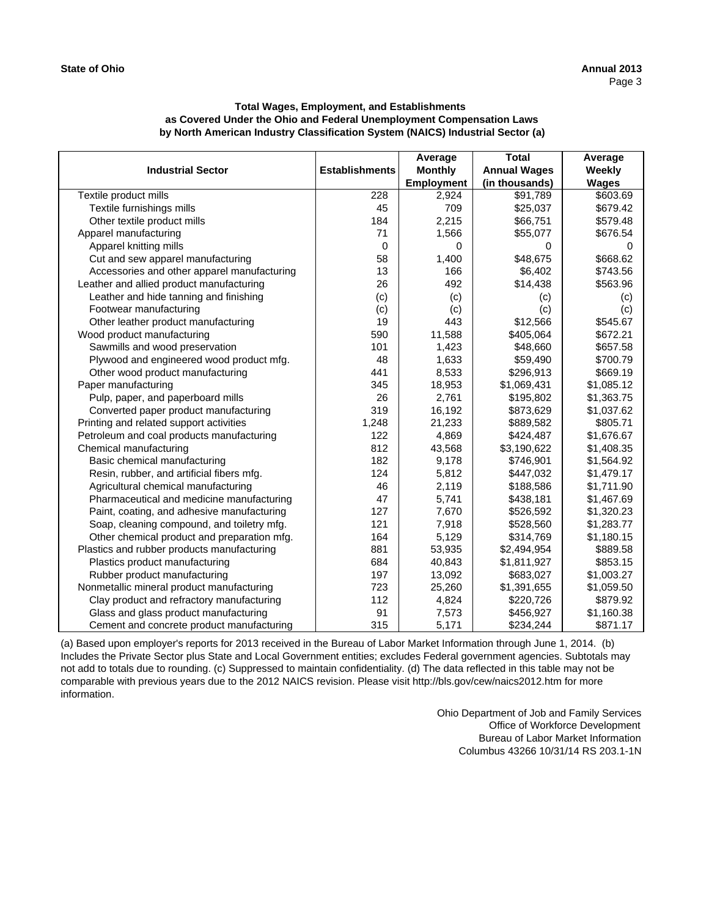| <b>Industrial Sector</b>                    | <b>Establishments</b> | Average<br><b>Monthly</b><br><b>Employment</b> | Total<br><b>Annual Wages</b><br>(in thousands) | Average<br>Weekly<br><b>Wages</b> |
|---------------------------------------------|-----------------------|------------------------------------------------|------------------------------------------------|-----------------------------------|
| Textile product mills                       | 228                   | 2,924                                          | \$91,789                                       | \$603.69                          |
| Textile furnishings mills                   | 45                    | 709                                            | \$25,037                                       | \$679.42                          |
| Other textile product mills                 | 184                   | 2,215                                          | \$66,751                                       | \$579.48                          |
| Apparel manufacturing                       | 71                    | 1,566                                          | \$55,077                                       | \$676.54                          |
| Apparel knitting mills                      | $\mathbf 0$           | 0                                              | 0                                              | 0                                 |
| Cut and sew apparel manufacturing           | 58                    | 1,400                                          | \$48,675                                       | \$668.62                          |
| Accessories and other apparel manufacturing | 13                    | 166                                            | \$6,402                                        | \$743.56                          |
| Leather and allied product manufacturing    | 26                    | 492                                            | \$14,438                                       | \$563.96                          |
| Leather and hide tanning and finishing      | (c)                   | (c)                                            | (c)                                            | (c)                               |
| Footwear manufacturing                      | (c)                   | (c)                                            | (c)                                            | (c)                               |
| Other leather product manufacturing         | 19                    | 443                                            | \$12,566                                       | \$545.67                          |
| Wood product manufacturing                  | 590                   | 11,588                                         | \$405,064                                      | \$672.21                          |
| Sawmills and wood preservation              | 101                   | 1,423                                          | \$48,660                                       | \$657.58                          |
| Plywood and engineered wood product mfg.    | 48                    | 1,633                                          | \$59,490                                       | \$700.79                          |
| Other wood product manufacturing            | 441                   | 8,533                                          | \$296,913                                      | \$669.19                          |
| Paper manufacturing                         | 345                   | 18,953                                         | \$1,069,431                                    | \$1,085.12                        |
| Pulp, paper, and paperboard mills           | 26                    | 2,761                                          | \$195,802                                      | \$1,363.75                        |
| Converted paper product manufacturing       | 319                   | 16,192                                         | \$873,629                                      | \$1,037.62                        |
| Printing and related support activities     | 1,248                 | 21,233                                         | \$889,582                                      | \$805.71                          |
| Petroleum and coal products manufacturing   | 122                   | 4,869                                          | \$424,487                                      | \$1,676.67                        |
| Chemical manufacturing                      | 812                   | 43,568                                         | \$3,190,622                                    | \$1,408.35                        |
| Basic chemical manufacturing                | 182                   | 9,178                                          | \$746,901                                      | \$1,564.92                        |
| Resin, rubber, and artificial fibers mfg.   | 124                   | 5,812                                          | \$447,032                                      | \$1,479.17                        |
| Agricultural chemical manufacturing         | 46                    | 2,119                                          | \$188,586                                      | \$1,711.90                        |
| Pharmaceutical and medicine manufacturing   | 47                    | 5,741                                          | \$438,181                                      | \$1,467.69                        |
| Paint, coating, and adhesive manufacturing  | 127                   | 7,670                                          | \$526,592                                      | \$1,320.23                        |
| Soap, cleaning compound, and toiletry mfg.  | 121                   | 7,918                                          | \$528,560                                      | \$1,283.77                        |
| Other chemical product and preparation mfg. | 164                   | 5,129                                          | \$314,769                                      | \$1,180.15                        |
| Plastics and rubber products manufacturing  | 881                   | 53,935                                         | \$2,494,954                                    | \$889.58                          |
| Plastics product manufacturing              | 684                   | 40,843                                         | \$1,811,927                                    | \$853.15                          |
| Rubber product manufacturing                | 197                   | 13,092                                         | \$683,027                                      | \$1,003.27                        |
| Nonmetallic mineral product manufacturing   | 723                   | 25,260                                         | \$1,391,655                                    | \$1,059.50                        |
| Clay product and refractory manufacturing   | 112                   | 4,824                                          | \$220,726                                      | \$879.92                          |
| Glass and glass product manufacturing       | 91                    | 7,573                                          | \$456,927                                      | \$1,160.38                        |
| Cement and concrete product manufacturing   | 315                   | 5,171                                          | \$234,244                                      | \$871.17                          |

(a) Based upon employer's reports for 2013 received in the Bureau of Labor Market Information through June 1, 2014. (b) Includes the Private Sector plus State and Local Government entities; excludes Federal government agencies. Subtotals may not add to totals due to rounding. (c) Suppressed to maintain confidentiality. (d) The data reflected in this table may not be comparable with previous years due to the 2012 NAICS revision. Please visit http://bls.gov/cew/naics2012.htm for more information.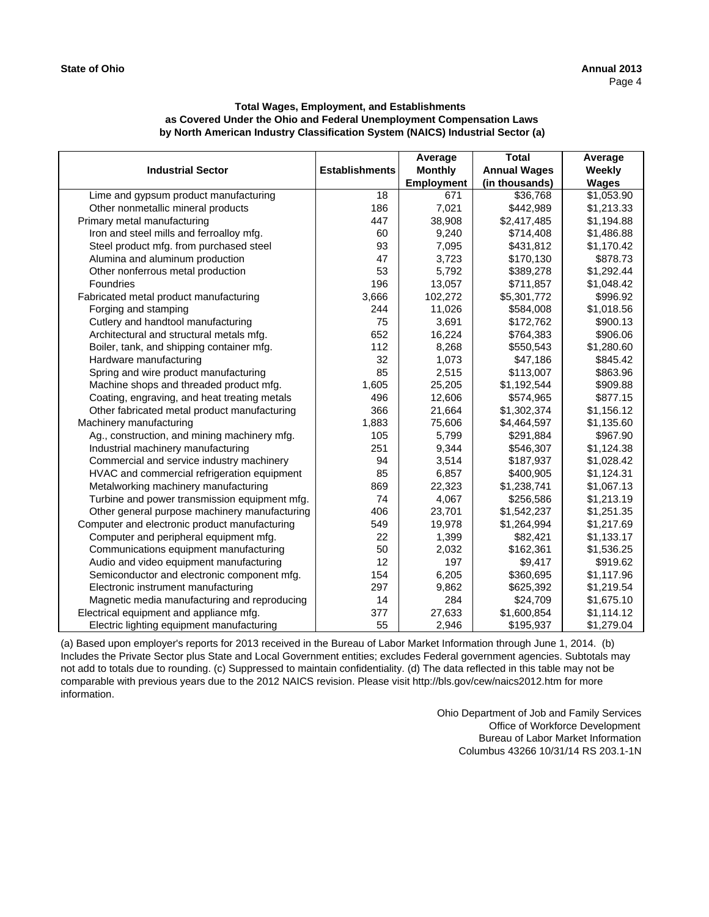|                                               |                       | Average           | <b>Total</b>        | Average      |
|-----------------------------------------------|-----------------------|-------------------|---------------------|--------------|
| <b>Industrial Sector</b>                      | <b>Establishments</b> | <b>Monthly</b>    | <b>Annual Wages</b> | Weekly       |
|                                               |                       | <b>Employment</b> | (in thousands)      | <b>Wages</b> |
| Lime and gypsum product manufacturing         | 18                    | 671               | \$36,768            | \$1,053.90   |
| Other nonmetallic mineral products            | 186                   | 7,021             | \$442,989           | \$1,213.33   |
| Primary metal manufacturing                   | 447                   | 38,908            | \$2,417,485         | \$1,194.88   |
| Iron and steel mills and ferroalloy mfg.      | 60                    | 9.240             | \$714,408           | \$1,486.88   |
| Steel product mfg. from purchased steel       | 93                    | 7,095             | \$431,812           | \$1,170.42   |
| Alumina and aluminum production               | 47                    | 3,723             | \$170,130           | \$878.73     |
| Other nonferrous metal production             | 53                    | 5,792             | \$389,278           | \$1,292.44   |
| Foundries                                     | 196                   | 13,057            | \$711,857           | \$1,048.42   |
| Fabricated metal product manufacturing        | 3,666                 | 102,272           | \$5,301,772         | \$996.92     |
| Forging and stamping                          | 244                   | 11,026            | \$584,008           | \$1,018.56   |
| Cutlery and handtool manufacturing            | 75                    | 3,691             | \$172,762           | \$900.13     |
| Architectural and structural metals mfg.      | 652                   | 16,224            | \$764,383           | \$906.06     |
| Boiler, tank, and shipping container mfg.     | 112                   | 8,268             | \$550,543           | \$1,280.60   |
| Hardware manufacturing                        | 32                    | 1,073             | \$47,186            | \$845.42     |
| Spring and wire product manufacturing         | 85                    | 2,515             | \$113,007           | \$863.96     |
| Machine shops and threaded product mfg.       | 1,605                 | 25,205            | \$1,192,544         | \$909.88     |
| Coating, engraving, and heat treating metals  | 496                   | 12,606            | \$574,965           | \$877.15     |
| Other fabricated metal product manufacturing  | 366                   | 21,664            | \$1,302,374         | \$1,156.12   |
| Machinery manufacturing                       | 1,883                 | 75,606            | \$4,464,597         | \$1,135.60   |
| Ag., construction, and mining machinery mfg.  | 105                   | 5,799             | \$291,884           | \$967.90     |
| Industrial machinery manufacturing            | 251                   | 9,344             | \$546,307           | \$1,124.38   |
| Commercial and service industry machinery     | 94                    | 3,514             | \$187,937           | \$1,028.42   |
| HVAC and commercial refrigeration equipment   | 85                    | 6,857             | \$400,905           | \$1,124.31   |
| Metalworking machinery manufacturing          | 869                   | 22,323            | \$1,238,741         | \$1,067.13   |
| Turbine and power transmission equipment mfg. | 74                    | 4,067             | \$256,586           | \$1,213.19   |
| Other general purpose machinery manufacturing | 406                   | 23,701            | \$1,542,237         | \$1,251.35   |
| Computer and electronic product manufacturing | 549                   | 19,978            | \$1,264,994         | \$1,217.69   |
| Computer and peripheral equipment mfg.        | 22                    | 1,399             | \$82,421            | \$1,133.17   |
| Communications equipment manufacturing        | 50                    | 2,032             | \$162,361           | \$1,536.25   |
| Audio and video equipment manufacturing       | 12                    | 197               | \$9,417             | \$919.62     |
| Semiconductor and electronic component mfg.   | 154                   | 6,205             | \$360,695           | \$1,117.96   |
| Electronic instrument manufacturing           | 297                   | 9,862             | \$625,392           | \$1,219.54   |
| Magnetic media manufacturing and reproducing  | 14                    | 284               | \$24,709            | \$1,675.10   |
| Electrical equipment and appliance mfg.       | 377                   | 27,633            | \$1,600,854         | \$1,114.12   |
| Electric lighting equipment manufacturing     | 55                    | 2,946             | \$195,937           | \$1,279.04   |

(a) Based upon employer's reports for 2013 received in the Bureau of Labor Market Information through June 1, 2014. (b) Includes the Private Sector plus State and Local Government entities; excludes Federal government agencies. Subtotals may not add to totals due to rounding. (c) Suppressed to maintain confidentiality. (d) The data reflected in this table may not be comparable with previous years due to the 2012 NAICS revision. Please visit http://bls.gov/cew/naics2012.htm for more information.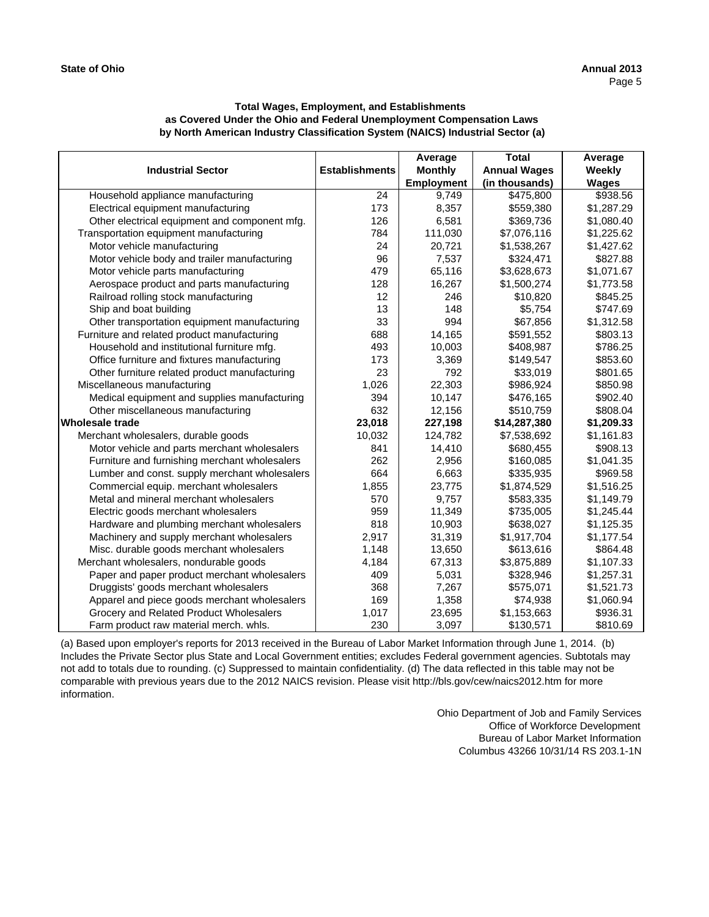| <b>Industrial Sector</b>                      | <b>Establishments</b> | Average<br><b>Monthly</b> | <b>Total</b><br><b>Annual Wages</b> | Average<br>Weekly |
|-----------------------------------------------|-----------------------|---------------------------|-------------------------------------|-------------------|
|                                               |                       | <b>Employment</b>         | (in thousands)                      | <b>Wages</b>      |
| Household appliance manufacturing             | 24                    | 9,749                     | \$475,800                           | \$938.56          |
| Electrical equipment manufacturing            | 173                   | 8,357                     | \$559,380                           | \$1,287.29        |
| Other electrical equipment and component mfg. | 126                   | 6,581                     | \$369,736                           | \$1,080.40        |
| Transportation equipment manufacturing        | 784                   | 111,030                   | \$7,076,116                         | \$1,225.62        |
| Motor vehicle manufacturing                   | 24                    | 20,721                    | \$1,538,267                         | \$1,427.62        |
| Motor vehicle body and trailer manufacturing  | 96                    | 7,537                     | \$324,471                           | \$827.88          |
| Motor vehicle parts manufacturing             | 479                   | 65,116                    | \$3,628,673                         | \$1,071.67        |
| Aerospace product and parts manufacturing     | 128                   | 16,267                    | \$1,500,274                         | \$1,773.58        |
| Railroad rolling stock manufacturing          | 12                    | 246                       | \$10,820                            | \$845.25          |
| Ship and boat building                        | 13                    | 148                       | \$5,754                             | \$747.69          |
| Other transportation equipment manufacturing  | 33                    | 994                       | \$67,856                            | \$1,312.58        |
| Furniture and related product manufacturing   | 688                   | 14,165                    | \$591,552                           | \$803.13          |
| Household and institutional furniture mfg.    | 493                   | 10,003                    | \$408,987                           | \$786.25          |
| Office furniture and fixtures manufacturing   | 173                   | 3,369                     | \$149,547                           | \$853.60          |
| Other furniture related product manufacturing | 23                    | 792                       | \$33,019                            | \$801.65          |
| Miscellaneous manufacturing                   | 1,026                 | 22,303                    | \$986,924                           | \$850.98          |
| Medical equipment and supplies manufacturing  | 394                   | 10,147                    | \$476,165                           | \$902.40          |
| Other miscellaneous manufacturing             | 632                   | 12,156                    | \$510,759                           | \$808.04          |
| <b>Wholesale trade</b>                        | 23,018                | 227,198                   | \$14,287,380                        | \$1,209.33        |
| Merchant wholesalers, durable goods           | 10,032                | 124,782                   | \$7,538,692                         | \$1,161.83        |
| Motor vehicle and parts merchant wholesalers  | 841                   | 14,410                    | \$680,455                           | \$908.13          |
| Furniture and furnishing merchant wholesalers | 262                   | 2,956                     | \$160,085                           | \$1,041.35        |
| Lumber and const. supply merchant wholesalers | 664                   | 6,663                     | \$335,935                           | \$969.58          |
| Commercial equip. merchant wholesalers        | 1,855                 | 23,775                    | \$1,874,529                         | \$1,516.25        |
| Metal and mineral merchant wholesalers        | 570                   | 9,757                     | \$583,335                           | \$1,149.79        |
| Electric goods merchant wholesalers           | 959                   | 11,349                    | \$735,005                           | \$1,245.44        |
| Hardware and plumbing merchant wholesalers    | 818                   | 10,903                    | \$638,027                           | \$1,125.35        |
| Machinery and supply merchant wholesalers     | 2,917                 | 31,319                    | \$1,917,704                         | \$1,177.54        |
| Misc. durable goods merchant wholesalers      | 1,148                 | 13,650                    | \$613,616                           | \$864.48          |
| Merchant wholesalers, nondurable goods        | 4,184                 | 67,313                    | \$3,875,889                         | \$1,107.33        |
| Paper and paper product merchant wholesalers  | 409                   | 5,031                     | \$328,946                           | \$1,257.31        |
| Druggists' goods merchant wholesalers         | 368                   | 7,267                     | \$575,071                           | \$1,521.73        |
| Apparel and piece goods merchant wholesalers  | 169                   | 1,358                     | \$74,938                            | \$1,060.94        |
| Grocery and Related Product Wholesalers       | 1,017                 | 23,695                    | \$1,153,663                         | \$936.31          |
| Farm product raw material merch. whls.        | 230                   | 3,097                     | \$130,571                           | \$810.69          |

(a) Based upon employer's reports for 2013 received in the Bureau of Labor Market Information through June 1, 2014. (b) Includes the Private Sector plus State and Local Government entities; excludes Federal government agencies. Subtotals may not add to totals due to rounding. (c) Suppressed to maintain confidentiality. (d) The data reflected in this table may not be comparable with previous years due to the 2012 NAICS revision. Please visit http://bls.gov/cew/naics2012.htm for more information.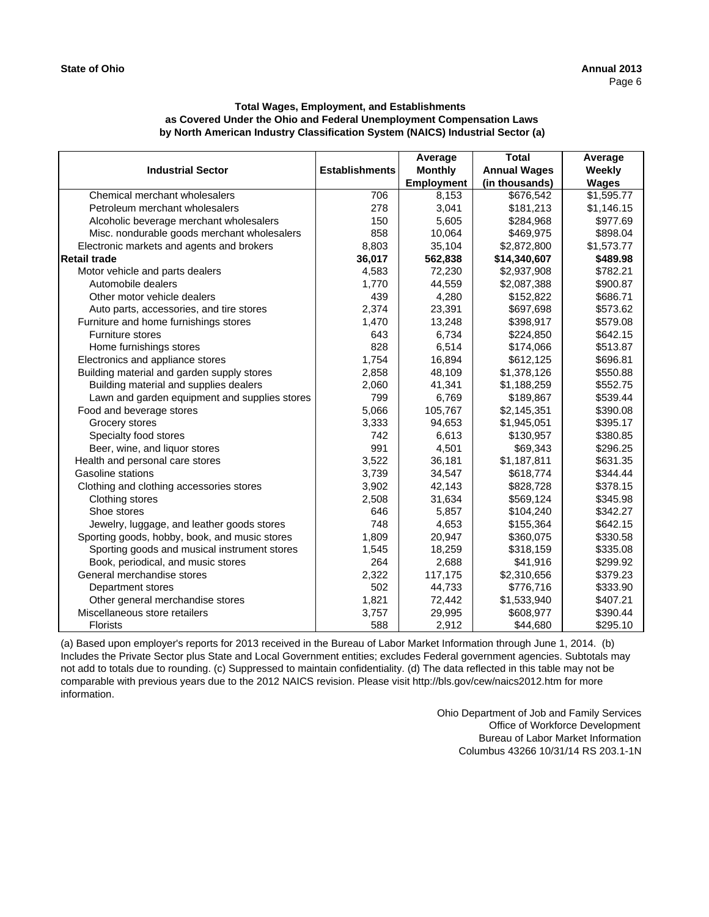|                                               |                       | Average           | <b>Total</b>        | Average      |
|-----------------------------------------------|-----------------------|-------------------|---------------------|--------------|
| <b>Industrial Sector</b>                      | <b>Establishments</b> | <b>Monthly</b>    | <b>Annual Wages</b> | Weekly       |
|                                               |                       | <b>Employment</b> | (in thousands)      | <b>Wages</b> |
| Chemical merchant wholesalers                 | 706                   | 8.153             | \$676,542           | \$1,595.77   |
| Petroleum merchant wholesalers                | 278                   | 3,041             | \$181,213           | \$1,146.15   |
| Alcoholic beverage merchant wholesalers       | 150                   | 5,605             | \$284,968           | \$977.69     |
| Misc. nondurable goods merchant wholesalers   | 858                   | 10,064            | \$469,975           | \$898.04     |
| Electronic markets and agents and brokers     | 8,803                 | 35,104            | \$2,872,800         | \$1,573.77   |
| <b>Retail trade</b>                           | 36,017                | 562,838           | \$14,340,607        | \$489.98     |
| Motor vehicle and parts dealers               | 4,583                 | 72,230            | \$2,937,908         | \$782.21     |
| Automobile dealers                            | 1.770                 | 44,559            | \$2,087,388         | \$900.87     |
| Other motor vehicle dealers                   | 439                   | 4,280             | \$152,822           | \$686.71     |
| Auto parts, accessories, and tire stores      | 2,374                 | 23,391            | \$697,698           | \$573.62     |
| Furniture and home furnishings stores         | 1,470                 | 13,248            | \$398,917           | \$579.08     |
| <b>Furniture stores</b>                       | 643                   | 6,734             | \$224,850           | \$642.15     |
| Home furnishings stores                       | 828                   | 6,514             | \$174,066           | \$513.87     |
| Electronics and appliance stores              | 1.754                 | 16,894            | \$612,125           | \$696.81     |
| Building material and garden supply stores    | 2,858                 | 48,109            | \$1,378,126         | \$550.88     |
| Building material and supplies dealers        | 2,060                 | 41,341            | \$1,188,259         | \$552.75     |
| Lawn and garden equipment and supplies stores | 799                   | 6,769             | \$189,867           | \$539.44     |
| Food and beverage stores                      | 5,066                 | 105,767           | \$2,145,351         | \$390.08     |
| Grocery stores                                | 3,333                 | 94,653            | \$1,945,051         | \$395.17     |
| Specialty food stores                         | 742                   | 6,613             | \$130,957           | \$380.85     |
| Beer, wine, and liquor stores                 | 991                   | 4,501             | \$69,343            | \$296.25     |
| Health and personal care stores               | 3,522                 | 36,181            | \$1,187,811         | \$631.35     |
| Gasoline stations                             | 3,739                 | 34,547            | \$618,774           | \$344.44     |
| Clothing and clothing accessories stores      | 3,902                 | 42,143            | \$828,728           | \$378.15     |
| Clothing stores                               | 2,508                 | 31,634            | \$569,124           | \$345.98     |
| Shoe stores                                   | 646                   | 5,857             | \$104,240           | \$342.27     |
| Jewelry, luggage, and leather goods stores    | 748                   | 4,653             | \$155,364           | \$642.15     |
| Sporting goods, hobby, book, and music stores | 1,809                 | 20,947            | \$360,075           | \$330.58     |
| Sporting goods and musical instrument stores  | 1,545                 | 18,259            | \$318,159           | \$335.08     |
| Book, periodical, and music stores            | 264                   | 2,688             | \$41,916            | \$299.92     |
| General merchandise stores                    | 2,322                 | 117,175           | \$2,310,656         | \$379.23     |
| Department stores                             | 502                   | 44,733            | \$776,716           | \$333.90     |
| Other general merchandise stores              | 1,821                 | 72,442            | \$1,533,940         | \$407.21     |
| Miscellaneous store retailers                 | 3,757                 | 29,995            | \$608,977           | \$390.44     |
| <b>Florists</b>                               | 588                   | 2,912             | \$44,680            | \$295.10     |

(a) Based upon employer's reports for 2013 received in the Bureau of Labor Market Information through June 1, 2014. (b) Includes the Private Sector plus State and Local Government entities; excludes Federal government agencies. Subtotals may not add to totals due to rounding. (c) Suppressed to maintain confidentiality. (d) The data reflected in this table may not be comparable with previous years due to the 2012 NAICS revision. Please visit http://bls.gov/cew/naics2012.htm for more information.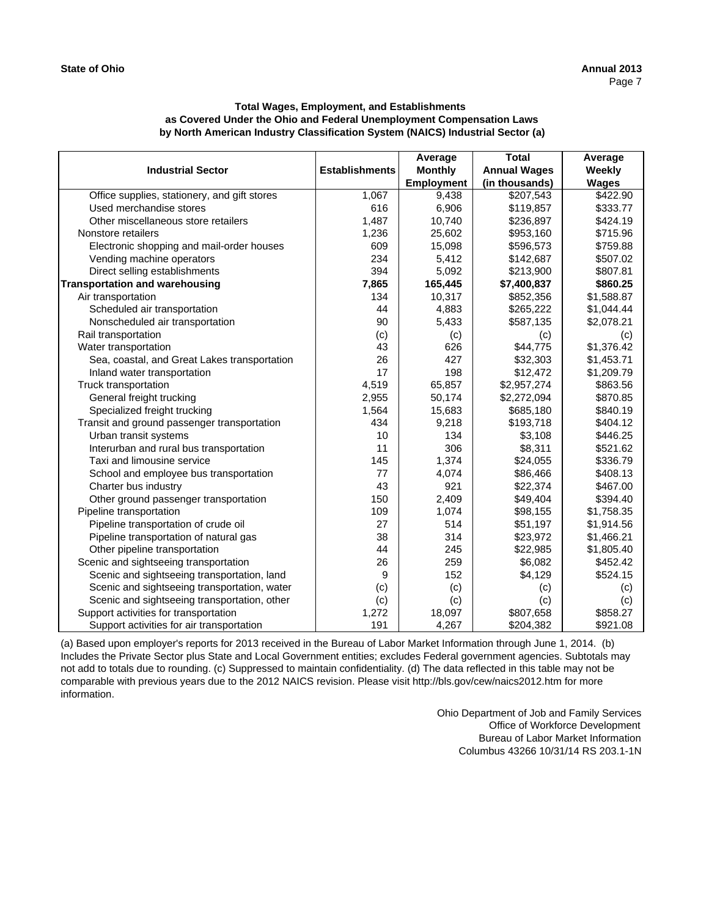| <b>Industrial Sector</b>                     | <b>Establishments</b> | Average<br><b>Monthly</b><br><b>Employment</b> | <b>Total</b><br><b>Annual Wages</b><br>(in thousands) | Average<br>Weekly<br><b>Wages</b> |
|----------------------------------------------|-----------------------|------------------------------------------------|-------------------------------------------------------|-----------------------------------|
| Office supplies, stationery, and gift stores | 1,067                 | 9,438                                          | \$207,543                                             | \$422.90                          |
| Used merchandise stores                      | 616                   | 6,906                                          | \$119,857                                             | \$333.77                          |
| Other miscellaneous store retailers          | 1,487                 | 10,740                                         | \$236,897                                             | \$424.19                          |
| Nonstore retailers                           | 1,236                 | 25,602                                         | \$953,160                                             | \$715.96                          |
| Electronic shopping and mail-order houses    | 609                   | 15,098                                         | \$596,573                                             | \$759.88                          |
| Vending machine operators                    | 234                   | 5,412                                          | \$142,687                                             | \$507.02                          |
| Direct selling establishments                | 394                   | 5,092                                          | \$213,900                                             | \$807.81                          |
| <b>Transportation and warehousing</b>        | 7,865                 | 165,445                                        | \$7,400,837                                           | \$860.25                          |
| Air transportation                           | 134                   | 10,317                                         | \$852,356                                             | \$1,588.87                        |
| Scheduled air transportation                 | 44                    | 4,883                                          | \$265,222                                             | \$1,044.44                        |
| Nonscheduled air transportation              | 90                    | 5,433                                          | \$587,135                                             | \$2,078.21                        |
| Rail transportation                          | (c)                   | (c)                                            | (c)                                                   | (c)                               |
| Water transportation                         | 43                    | 626                                            | \$44,775                                              | \$1,376.42                        |
| Sea, coastal, and Great Lakes transportation | 26                    | 427                                            | \$32,303                                              | \$1,453.71                        |
| Inland water transportation                  | 17                    | 198                                            | \$12,472                                              | \$1,209.79                        |
| Truck transportation                         | 4,519                 | 65,857                                         | \$2,957,274                                           | \$863.56                          |
| General freight trucking                     | 2,955                 | 50,174                                         | \$2,272,094                                           | \$870.85                          |
| Specialized freight trucking                 | 1,564                 | 15,683                                         | \$685,180                                             | \$840.19                          |
| Transit and ground passenger transportation  | 434                   | 9,218                                          | \$193,718                                             | \$404.12                          |
| Urban transit systems                        | 10                    | 134                                            | \$3,108                                               | \$446.25                          |
| Interurban and rural bus transportation      | 11                    | 306                                            | \$8,311                                               | \$521.62                          |
| Taxi and limousine service                   | 145                   | 1,374                                          | \$24,055                                              | \$336.79                          |
| School and employee bus transportation       | 77                    | 4,074                                          | \$86,466                                              | \$408.13                          |
| Charter bus industry                         | 43                    | 921                                            | \$22,374                                              | \$467.00                          |
| Other ground passenger transportation        | 150                   | 2,409                                          | \$49,404                                              | \$394.40                          |
| Pipeline transportation                      | 109                   | 1,074                                          | \$98,155                                              | \$1,758.35                        |
| Pipeline transportation of crude oil         | 27                    | 514                                            | \$51,197                                              | \$1,914.56                        |
| Pipeline transportation of natural gas       | 38                    | 314                                            | \$23,972                                              | \$1,466.21                        |
| Other pipeline transportation                | 44                    | 245                                            | \$22,985                                              | \$1,805.40                        |
| Scenic and sightseeing transportation        | 26                    | 259                                            | \$6,082                                               | \$452.42                          |
| Scenic and sightseeing transportation, land  | 9                     | 152                                            | \$4,129                                               | \$524.15                          |
| Scenic and sightseeing transportation, water | (c)                   | (c)                                            | (c)                                                   | (c)                               |
| Scenic and sightseeing transportation, other | (c)                   | (c)                                            | (c)                                                   | (c)                               |
| Support activities for transportation        | 1,272                 | 18,097                                         | \$807,658                                             | \$858.27                          |
| Support activities for air transportation    | 191                   | 4,267                                          | \$204,382                                             | \$921.08                          |

(a) Based upon employer's reports for 2013 received in the Bureau of Labor Market Information through June 1, 2014. (b) Includes the Private Sector plus State and Local Government entities; excludes Federal government agencies. Subtotals may not add to totals due to rounding. (c) Suppressed to maintain confidentiality. (d) The data reflected in this table may not be comparable with previous years due to the 2012 NAICS revision. Please visit http://bls.gov/cew/naics2012.htm for more information.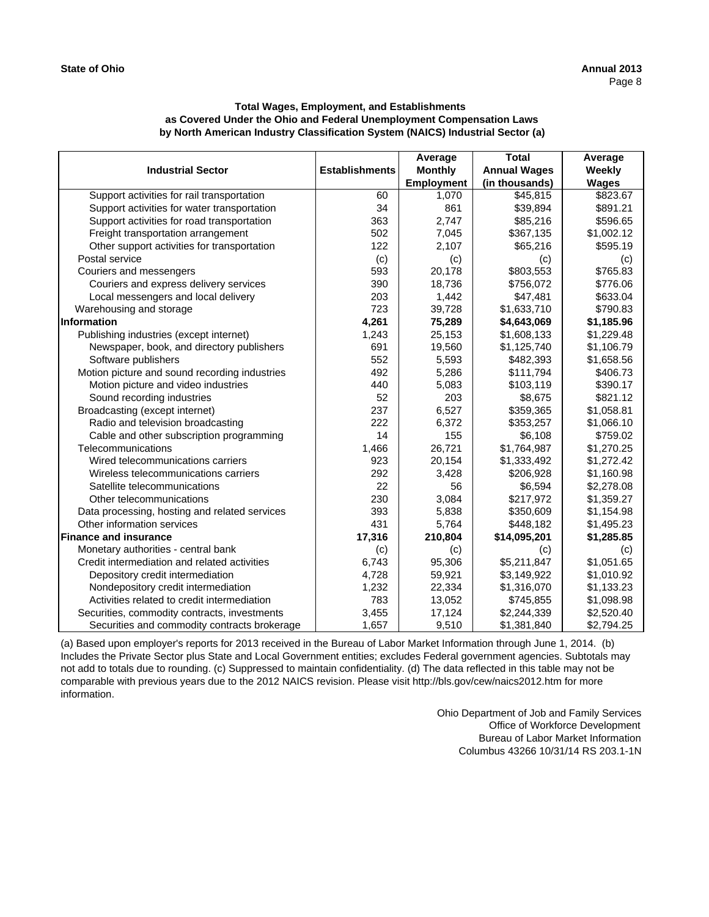| <b>Industrial Sector</b>                      | <b>Establishments</b> | Average<br><b>Monthly</b> | <b>Total</b><br><b>Annual Wages</b> | Average<br>Weekly |
|-----------------------------------------------|-----------------------|---------------------------|-------------------------------------|-------------------|
|                                               |                       | <b>Employment</b>         | (in thousands)                      | <b>Wages</b>      |
| Support activities for rail transportation    | 60                    | 1,070                     | \$45,815                            | \$823.67          |
| Support activities for water transportation   | 34                    | 861                       | \$39,894                            | \$891.21          |
| Support activities for road transportation    | 363                   | 2.747                     | \$85,216                            | \$596.65          |
| Freight transportation arrangement            | 502                   | 7,045                     | \$367,135                           | \$1,002.12        |
| Other support activities for transportation   | 122                   | 2,107                     | \$65,216                            | \$595.19          |
| Postal service                                | (c)                   | (c)                       | (c)                                 | (c)               |
| Couriers and messengers                       | 593                   | 20,178                    | \$803,553                           | \$765.83          |
| Couriers and express delivery services        | 390                   | 18,736                    | \$756,072                           | \$776.06          |
| Local messengers and local delivery           | 203                   | 1,442                     | \$47,481                            | \$633.04          |
| Warehousing and storage                       | 723                   | 39,728                    | \$1,633,710                         | \$790.83          |
| Information                                   | 4,261                 | 75,289                    | \$4,643,069                         | \$1,185.96        |
| Publishing industries (except internet)       | 1,243                 | 25,153                    | \$1,608,133                         | \$1,229.48        |
| Newspaper, book, and directory publishers     | 691                   | 19,560                    | \$1,125,740                         | \$1,106.79        |
| Software publishers                           | 552                   | 5,593                     | \$482,393                           | \$1,658.56        |
| Motion picture and sound recording industries | 492                   | 5,286                     | \$111,794                           | \$406.73          |
| Motion picture and video industries           | 440                   | 5,083                     | \$103,119                           | \$390.17          |
| Sound recording industries                    | 52                    | 203                       | \$8,675                             | \$821.12          |
| Broadcasting (except internet)                | 237                   | 6,527                     | \$359,365                           | \$1,058.81        |
| Radio and television broadcasting             | 222                   | 6,372                     | \$353,257                           | \$1,066.10        |
| Cable and other subscription programming      | 14                    | 155                       | \$6,108                             | \$759.02          |
| Telecommunications                            | 1,466                 | 26,721                    | \$1,764,987                         | \$1,270.25        |
| Wired telecommunications carriers             | 923                   | 20,154                    | \$1,333,492                         | \$1,272.42        |
| Wireless telecommunications carriers          | 292                   | 3,428                     | \$206,928                           | \$1,160.98        |
| Satellite telecommunications                  | 22                    | 56                        | \$6,594                             | \$2,278.08        |
| Other telecommunications                      | 230                   | 3,084                     | \$217,972                           | \$1,359.27        |
| Data processing, hosting and related services | 393                   | 5,838                     | \$350,609                           | \$1,154.98        |
| Other information services                    | 431                   | 5,764                     | \$448,182                           | \$1,495.23        |
| <b>Finance and insurance</b>                  | 17,316                | 210,804                   | \$14,095,201                        | \$1,285.85        |
| Monetary authorities - central bank           | (c)                   | (c)                       | (c)                                 | (c)               |
| Credit intermediation and related activities  | 6,743                 | 95,306                    | \$5,211,847                         | \$1,051.65        |
| Depository credit intermediation              | 4,728                 | 59,921                    | \$3,149,922                         | \$1,010.92        |
| Nondepository credit intermediation           | 1,232                 | 22,334                    | \$1,316,070                         | \$1,133.23        |
| Activities related to credit intermediation   | 783                   | 13,052                    | \$745,855                           | \$1,098.98        |
| Securities, commodity contracts, investments  | 3,455                 | 17,124                    | \$2,244,339                         | \$2,520.40        |
| Securities and commodity contracts brokerage  | 1,657                 | 9,510                     | \$1,381,840                         | \$2,794.25        |

(a) Based upon employer's reports for 2013 received in the Bureau of Labor Market Information through June 1, 2014. (b) Includes the Private Sector plus State and Local Government entities; excludes Federal government agencies. Subtotals may not add to totals due to rounding. (c) Suppressed to maintain confidentiality. (d) The data reflected in this table may not be comparable with previous years due to the 2012 NAICS revision. Please visit http://bls.gov/cew/naics2012.htm for more information.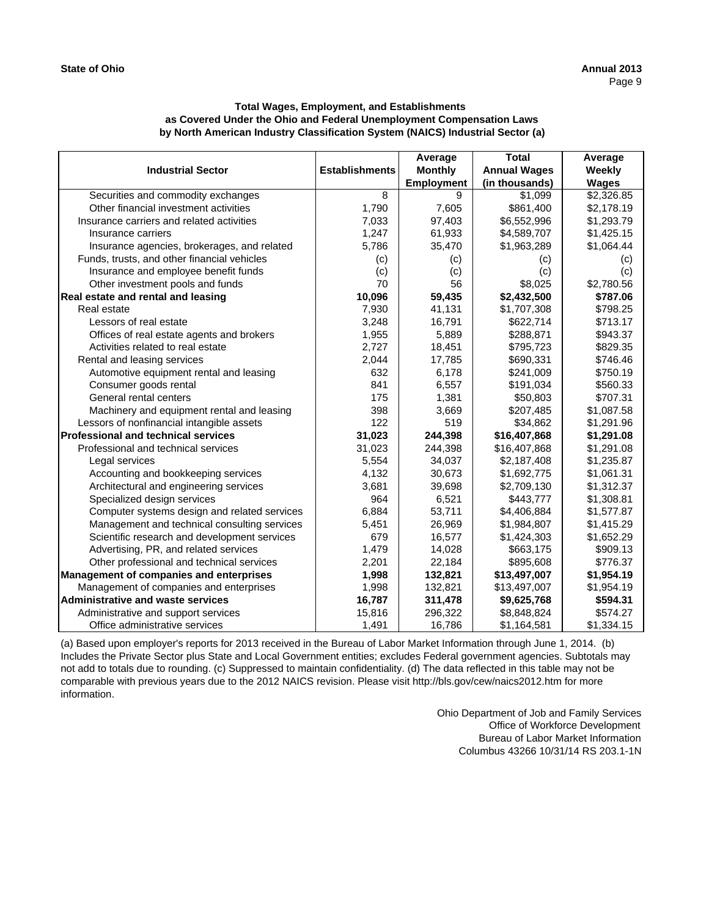| <b>Industrial Sector</b>                     | <b>Establishments</b> | Average<br><b>Monthly</b><br><b>Employment</b> | Total<br><b>Annual Wages</b><br>(in thousands) | Average<br>Weekly<br><b>Wages</b> |
|----------------------------------------------|-----------------------|------------------------------------------------|------------------------------------------------|-----------------------------------|
| Securities and commodity exchanges           | 8                     | 9                                              | \$1,099                                        | \$2,326.85                        |
| Other financial investment activities        | 1,790                 | 7,605                                          | \$861,400                                      | \$2,178.19                        |
| Insurance carriers and related activities    | 7,033                 | 97,403                                         | \$6,552,996                                    | \$1,293.79                        |
| Insurance carriers                           | 1,247                 | 61,933                                         | \$4,589,707                                    | \$1,425.15                        |
| Insurance agencies, brokerages, and related  | 5,786                 | 35,470                                         | \$1,963,289                                    | \$1,064.44                        |
| Funds, trusts, and other financial vehicles  | (c)                   | (c)                                            | (c)                                            | (c)                               |
| Insurance and employee benefit funds         | (c)                   | (c)                                            | (c)                                            | (c)                               |
| Other investment pools and funds             | 70                    | 56                                             | \$8,025                                        | \$2,780.56                        |
| Real estate and rental and leasing           | 10,096                | 59,435                                         | \$2,432,500                                    | \$787.06                          |
| Real estate                                  | 7,930                 | 41,131                                         | \$1,707,308                                    | \$798.25                          |
| Lessors of real estate                       | 3,248                 | 16,791                                         | \$622,714                                      | \$713.17                          |
| Offices of real estate agents and brokers    | 1,955                 | 5,889                                          | \$288,871                                      | \$943.37                          |
| Activities related to real estate            | 2,727                 | 18,451                                         | \$795,723                                      | \$829.35                          |
| Rental and leasing services                  | 2,044                 | 17,785                                         | \$690,331                                      | \$746.46                          |
| Automotive equipment rental and leasing      | 632                   | 6.178                                          | \$241,009                                      | \$750.19                          |
| Consumer goods rental                        | 841                   | 6,557                                          | \$191,034                                      | \$560.33                          |
| General rental centers                       | 175                   | 1,381                                          | \$50,803                                       | \$707.31                          |
| Machinery and equipment rental and leasing   | 398                   | 3,669                                          | \$207,485                                      | \$1,087.58                        |
| Lessors of nonfinancial intangible assets    | 122                   | 519                                            | \$34,862                                       | \$1,291.96                        |
| <b>Professional and technical services</b>   | 31,023                | 244,398                                        | \$16,407,868                                   | \$1,291.08                        |
| Professional and technical services          | 31,023                | 244,398                                        | \$16,407,868                                   | \$1,291.08                        |
| Legal services                               | 5,554                 | 34,037                                         | \$2,187,408                                    | \$1,235.87                        |
| Accounting and bookkeeping services          | 4,132                 | 30,673                                         | \$1,692,775                                    | \$1,061.31                        |
| Architectural and engineering services       | 3,681                 | 39,698                                         | \$2,709,130                                    | \$1,312.37                        |
| Specialized design services                  | 964                   | 6,521                                          | \$443,777                                      | \$1,308.81                        |
| Computer systems design and related services | 6,884                 | 53,711                                         | \$4,406,884                                    | \$1,577.87                        |
| Management and technical consulting services | 5,451                 | 26,969                                         | \$1,984,807                                    | \$1,415.29                        |
| Scientific research and development services | 679                   | 16,577                                         | \$1,424,303                                    | \$1,652.29                        |
| Advertising, PR, and related services        | 1,479                 | 14,028                                         | \$663,175                                      | \$909.13                          |
| Other professional and technical services    | 2,201                 | 22,184                                         | \$895,608                                      | \$776.37                          |
| Management of companies and enterprises      | 1,998                 | 132,821                                        | \$13,497,007                                   | \$1,954.19                        |
| Management of companies and enterprises      | 1,998                 | 132,821                                        | \$13,497,007                                   | \$1,954.19                        |
| <b>Administrative and waste services</b>     | 16,787                | 311,478                                        | \$9,625,768                                    | \$594.31                          |
| Administrative and support services          | 15,816                | 296,322                                        | \$8,848,824                                    | \$574.27                          |
| Office administrative services               | 1,491                 | 16,786                                         | \$1,164,581                                    | \$1,334.15                        |

(a) Based upon employer's reports for 2013 received in the Bureau of Labor Market Information through June 1, 2014. (b) Includes the Private Sector plus State and Local Government entities; excludes Federal government agencies. Subtotals may not add to totals due to rounding. (c) Suppressed to maintain confidentiality. (d) The data reflected in this table may not be comparable with previous years due to the 2012 NAICS revision. Please visit http://bls.gov/cew/naics2012.htm for more information.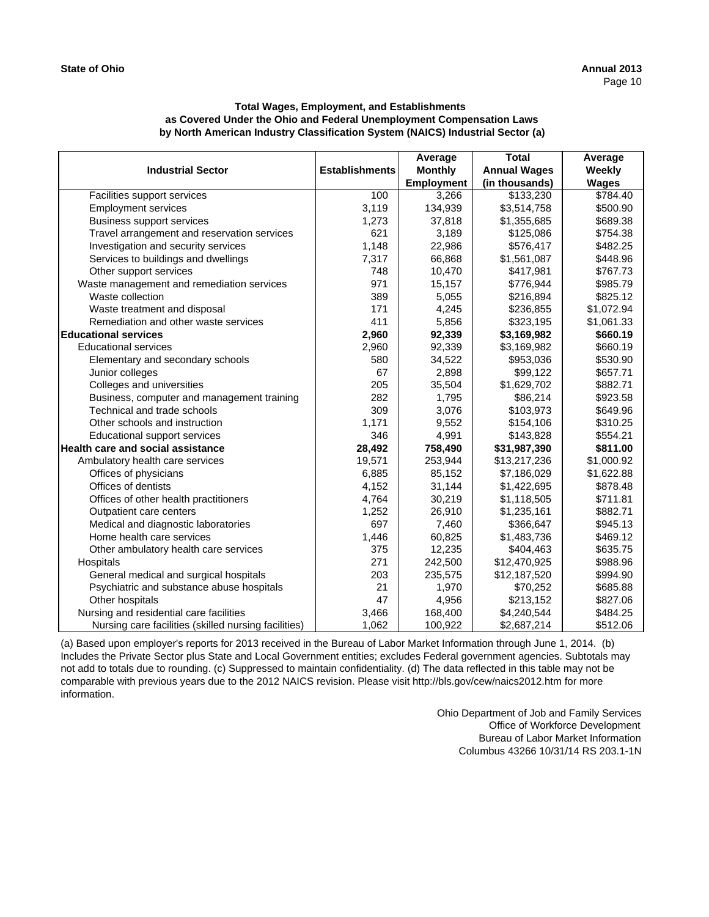| <b>Industrial Sector</b>                             | <b>Establishments</b> | Average<br><b>Monthly</b> | <b>Total</b><br><b>Annual Wages</b> | Average<br>Weekly |
|------------------------------------------------------|-----------------------|---------------------------|-------------------------------------|-------------------|
|                                                      |                       | <b>Employment</b>         | (in thousands)                      | <b>Wages</b>      |
| Facilities support services                          | 100                   | 3,266                     | \$133,230                           | \$784.40          |
| <b>Employment services</b>                           | 3,119                 | 134,939                   | \$3,514,758                         | \$500.90          |
| <b>Business support services</b>                     | 1,273                 | 37,818                    | \$1,355,685                         | \$689.38          |
| Travel arrangement and reservation services          | 621                   | 3,189                     | \$125,086                           | \$754.38          |
| Investigation and security services                  | 1,148                 | 22,986                    | \$576,417                           | \$482.25          |
| Services to buildings and dwellings                  | 7,317                 | 66,868                    | \$1,561,087                         | \$448.96          |
| Other support services                               | 748                   | 10,470                    | \$417,981                           | \$767.73          |
| Waste management and remediation services            | 971                   | 15,157                    | \$776,944                           | \$985.79          |
| Waste collection                                     | 389                   | 5,055                     | \$216,894                           | \$825.12          |
| Waste treatment and disposal                         | 171                   | 4,245                     | \$236,855                           | \$1,072.94        |
| Remediation and other waste services                 | 411                   | 5,856                     | \$323,195                           | \$1,061.33        |
| <b>Educational services</b>                          | 2,960                 | 92,339                    | \$3,169,982                         | \$660.19          |
| <b>Educational services</b>                          | 2,960                 | 92,339                    | \$3,169,982                         | \$660.19          |
| Elementary and secondary schools                     | 580                   | 34,522                    | \$953,036                           | \$530.90          |
| Junior colleges                                      | 67                    | 2,898                     | \$99,122                            | \$657.71          |
| Colleges and universities                            | 205                   | 35,504                    | \$1,629,702                         | \$882.71          |
| Business, computer and management training           | 282                   | 1,795                     | \$86,214                            | \$923.58          |
| Technical and trade schools                          | 309                   | 3,076                     | \$103,973                           | \$649.96          |
| Other schools and instruction                        | 1,171                 | 9,552                     | \$154,106                           | \$310.25          |
| Educational support services                         | 346                   | 4,991                     | \$143,828                           | \$554.21          |
| <b>Health care and social assistance</b>             | 28,492                | 758,490                   | \$31,987,390                        | \$811.00          |
| Ambulatory health care services                      | 19,571                | 253,944                   | \$13,217,236                        | \$1,000.92        |
| Offices of physicians                                | 6,885                 | 85,152                    | \$7,186,029                         | \$1,622.88        |
| Offices of dentists                                  | 4,152                 | 31,144                    | \$1,422,695                         | \$878.48          |
| Offices of other health practitioners                | 4,764                 | 30,219                    | \$1,118,505                         | \$711.81          |
| Outpatient care centers                              | 1,252                 | 26,910                    | \$1,235,161                         | \$882.71          |
| Medical and diagnostic laboratories                  | 697                   | 7,460                     | \$366,647                           | \$945.13          |
| Home health care services                            | 1,446                 | 60,825                    | \$1,483,736                         | \$469.12          |
| Other ambulatory health care services                | 375                   | 12,235                    | \$404,463                           | \$635.75          |
| Hospitals                                            | 271                   | 242,500                   | \$12,470,925                        | \$988.96          |
| General medical and surgical hospitals               | 203                   | 235,575                   | \$12,187,520                        | \$994.90          |
| Psychiatric and substance abuse hospitals            | 21                    | 1,970                     | \$70,252                            | \$685.88          |
| Other hospitals                                      | 47                    | 4,956                     | \$213,152                           | \$827.06          |
| Nursing and residential care facilities              | 3,466                 | 168,400                   | \$4,240,544                         | \$484.25          |
| Nursing care facilities (skilled nursing facilities) | 1,062                 | 100,922                   | \$2,687,214                         | \$512.06          |

(a) Based upon employer's reports for 2013 received in the Bureau of Labor Market Information through June 1, 2014. (b) Includes the Private Sector plus State and Local Government entities; excludes Federal government agencies. Subtotals may not add to totals due to rounding. (c) Suppressed to maintain confidentiality. (d) The data reflected in this table may not be comparable with previous years due to the 2012 NAICS revision. Please visit http://bls.gov/cew/naics2012.htm for more information.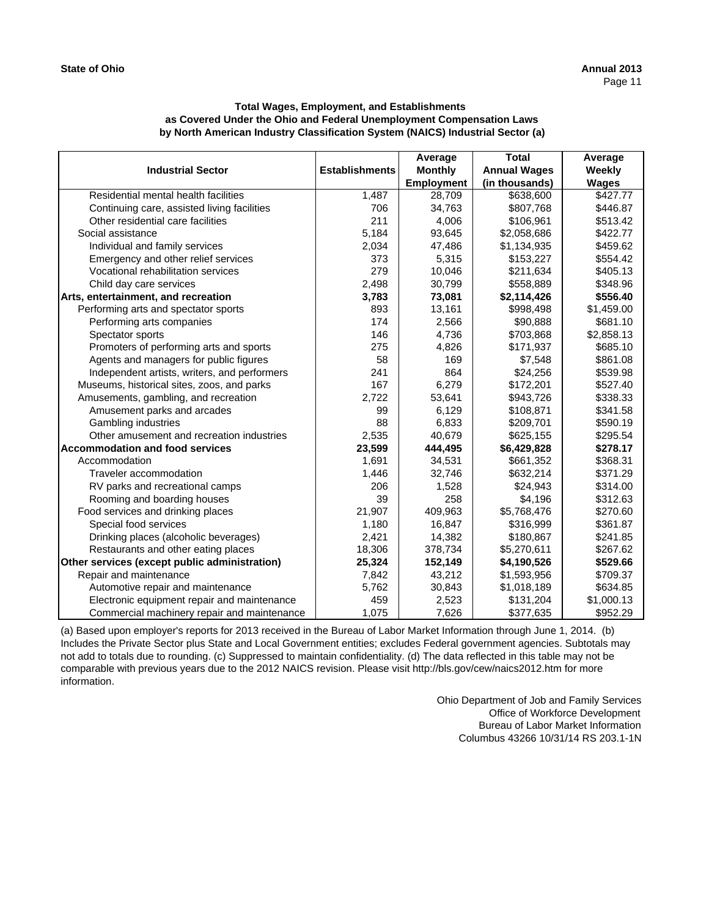|                                               |                       | Average           | <b>Total</b>        | Average      |
|-----------------------------------------------|-----------------------|-------------------|---------------------|--------------|
| <b>Industrial Sector</b>                      | <b>Establishments</b> | <b>Monthly</b>    | <b>Annual Wages</b> | Weekly       |
|                                               |                       | <b>Employment</b> | (in thousands)      | <b>Wages</b> |
| Residential mental health facilities          | 1,487                 | 28,709            | \$638,600           | \$427.77     |
| Continuing care, assisted living facilities   | 706                   | 34,763            | \$807,768           | \$446.87     |
| Other residential care facilities             | 211                   | 4,006             | \$106,961           | \$513.42     |
| Social assistance                             | 5,184                 | 93,645            | \$2,058,686         | \$422.77     |
| Individual and family services                | 2,034                 | 47,486            | \$1,134,935         | \$459.62     |
| Emergency and other relief services           | 373                   | 5,315             | \$153,227           | \$554.42     |
| Vocational rehabilitation services            | 279                   | 10,046            | \$211,634           | \$405.13     |
| Child day care services                       | 2,498                 | 30,799            | \$558,889           | \$348.96     |
| Arts, entertainment, and recreation           | 3,783                 | 73,081            | \$2,114,426         | \$556.40     |
| Performing arts and spectator sports          | 893                   | 13,161            | \$998,498           | \$1,459.00   |
| Performing arts companies                     | 174                   | 2,566             | \$90,888            | \$681.10     |
| Spectator sports                              | 146                   | 4,736             | \$703,868           | \$2,858.13   |
| Promoters of performing arts and sports       | 275                   | 4,826             | \$171,937           | \$685.10     |
| Agents and managers for public figures        | 58                    | 169               | \$7,548             | \$861.08     |
| Independent artists, writers, and performers  | 241                   | 864               | \$24,256            | \$539.98     |
| Museums, historical sites, zoos, and parks    | 167                   | 6,279             | \$172,201           | \$527.40     |
| Amusements, gambling, and recreation          | 2,722                 | 53,641            | \$943,726           | \$338.33     |
| Amusement parks and arcades                   | 99                    | 6,129             | \$108,871           | \$341.58     |
| Gambling industries                           | 88                    | 6,833             | \$209,701           | \$590.19     |
| Other amusement and recreation industries     | 2,535                 | 40,679            | \$625,155           | \$295.54     |
| <b>Accommodation and food services</b>        | 23,599                | 444,495           | \$6,429,828         | \$278.17     |
| Accommodation                                 | 1,691                 | 34,531            | \$661,352           | \$368.31     |
| Traveler accommodation                        | 1,446                 | 32,746            | \$632,214           | \$371.29     |
| RV parks and recreational camps               | 206                   | 1,528             | \$24,943            | \$314.00     |
| Rooming and boarding houses                   | 39                    | 258               | \$4,196             | \$312.63     |
| Food services and drinking places             | 21,907                | 409,963           | \$5,768,476         | \$270.60     |
| Special food services                         | 1,180                 | 16.847            | \$316,999           | \$361.87     |
| Drinking places (alcoholic beverages)         | 2,421                 | 14,382            | \$180,867           | \$241.85     |
| Restaurants and other eating places           | 18,306                | 378,734           | \$5,270,611         | \$267.62     |
| Other services (except public administration) | 25,324                | 152,149           | \$4,190,526         | \$529.66     |
| Repair and maintenance                        | 7,842                 | 43,212            | \$1,593,956         | \$709.37     |
| Automotive repair and maintenance             | 5,762                 | 30,843            | \$1,018,189         | \$634.85     |
| Electronic equipment repair and maintenance   | 459                   | 2,523             | \$131,204           | \$1,000.13   |
| Commercial machinery repair and maintenance   | 1,075                 | 7,626             | \$377,635           | \$952.29     |

(a) Based upon employer's reports for 2013 received in the Bureau of Labor Market Information through June 1, 2014. (b) Includes the Private Sector plus State and Local Government entities; excludes Federal government agencies. Subtotals may not add to totals due to rounding. (c) Suppressed to maintain confidentiality. (d) The data reflected in this table may not be comparable with previous years due to the 2012 NAICS revision. Please visit http://bls.gov/cew/naics2012.htm for more information.